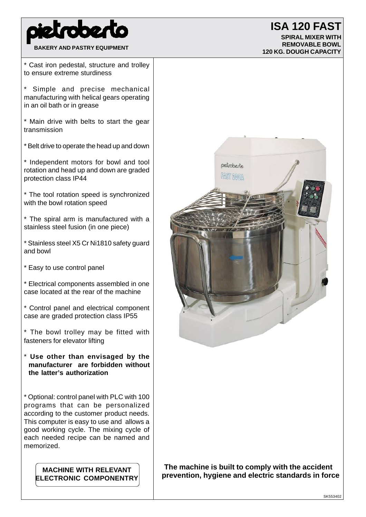

## **BAKERY AND PASTRY EQUIPMENT**

## **ISA 120 FAST**

**SPIRAL MIXER WITH REMOVABLE BOWL 120 KG. DOUGH CAPACITY**

\* Cast iron pedestal, structure and trolley to ensure extreme sturdiness

Simple and precise mechanical manufacturing with helical gears operating in an oil bath or in grease

\* Main drive with belts to start the gear transmission

\* Belt drive to operate the head up and down

\* Independent motors for bowl and tool rotation and head up and down are graded protection class IP44

\* The tool rotation speed is synchronized with the bowl rotation speed

\* The spiral arm is manufactured with a stainless steel fusion (in one piece)

\* Stainless steel X5 Cr Ni1810 safety guard and bowl

\* Easy to use control panel

\* Electrical components assembled in one case located at the rear of the machine

\* Control panel and electrical component case are graded protection class IP55

\* The bowl trolley may be fitted with fasteners for elevator lifting

\* **Use other than envisaged by the manufacturer are forbidden without the latter's authorization**

\* Optional: control panel with PLC with 100 programs that can be personalized according to the customer product needs. This computer is easy to use and allows a good working cycle. The mixing cycle of each needed recipe can be named and memorized.

**MACHINE WITH RELEVANT ELECTRONIC COMPONENTRY**



**The machine is built to comply with the accident prevention, hygiene and electric standards in force**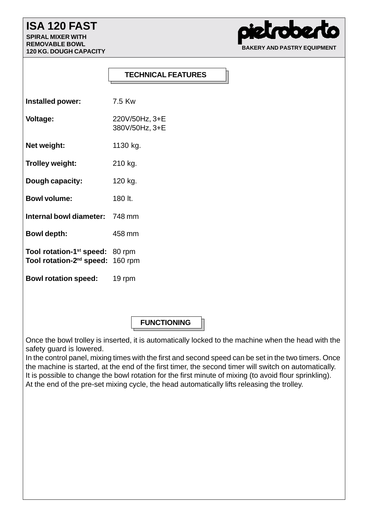## **ISA 120 FAST**

**SPIRAL MIXER WITH REMOVABLE BOWL 120 KG. DOUGH CAPACITY**

**002 BAKERY AND PASTRY EQUIPMENT**

## **TECHNICAL FEATURES**

| Installed power:                                                                            | 7.5 Kw                           |
|---------------------------------------------------------------------------------------------|----------------------------------|
| <b>Voltage:</b>                                                                             | 220V/50Hz, 3+E<br>380V/50Hz, 3+E |
| Net weight:                                                                                 | 1130 kg.                         |
| Trolley weight:                                                                             | 210 kg.                          |
| Dough capacity:                                                                             | 120 kg.                          |
| <b>Bowl volume:</b>                                                                         | 180 lt.                          |
| <b>Internal bowl diameter: 748 mm</b>                                                       |                                  |
| <b>Bowl depth:</b>                                                                          | 458 mm                           |
| Tool rotation-1 <sup>st</sup> speed: 80 rpm<br>Tool rotation-2 <sup>nd</sup> speed: 160 rpm |                                  |
| <b>Bowl rotation speed:</b>                                                                 | 19 rpm                           |

**FUNCTIONING**

Once the bowl trolley is inserted, it is automatically locked to the machine when the head with the safety guard is lowered.

In the control panel, mixing times with the first and second speed can be set in the two timers. Once the machine is started, at the end of the first timer, the second timer will switch on automatically. It is possible to change the bowl rotation for the first minute of mixing (to avoid flour sprinkling). At the end of the pre-set mixing cycle, the head automatically lifts releasing the trolley.